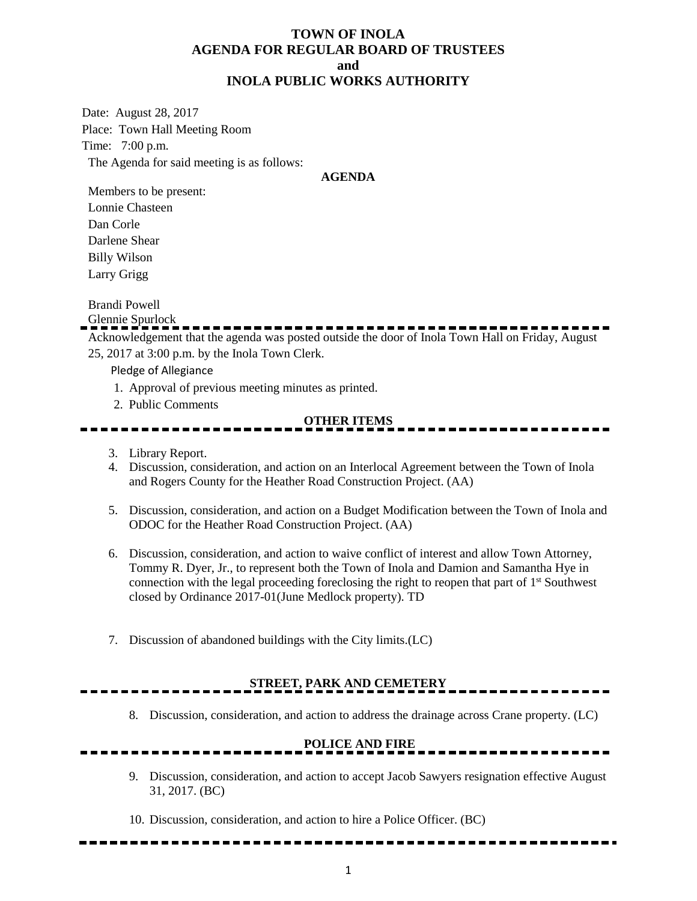### **TOWN OF INOLA AGENDA FOR REGULAR BOARD OF TRUSTEES and INOLA PUBLIC WORKS AUTHORITY**

Date: August 28, 2017 Place: Town Hall Meeting Room Time: 7:00 p.m. The Agenda for said meeting is as follows:

#### **AGENDA**

Members to be present: Lonnie Chasteen Dan Corle Darlene Shear Billy Wilson Larry Grigg

Brandi Powell

Glennie Spurlock

Acknowledgement that the agenda was posted outside the door of Inola Town Hall on Friday, August 25, 2017 at 3:00 p.m. by the Inola Town Clerk.

Pledge of Allegiance

- 1. Approval of previous meeting minutes as printed.
- 2. Public Comments

### **OTHER ITEMS**

- 3. Library Report.
- 4. Discussion, consideration, and action on an Interlocal Agreement between the Town of Inola and Rogers County for the Heather Road Construction Project. (AA)
- 5. Discussion, consideration, and action on a Budget Modification between the Town of Inola and ODOC for the Heather Road Construction Project. (AA)
- 6. Discussion, consideration, and action to waive conflict of interest and allow Town Attorney, Tommy R. Dyer, Jr., to represent both the Town of Inola and Damion and Samantha Hye in connection with the legal proceeding foreclosing the right to reopen that part of 1<sup>st</sup> Southwest closed by Ordinance 2017-01(June Medlock property). TD
- 7. Discussion of abandoned buildings with the City limits.(LC)

## **STREET, PARK AND CEMETERY**

8. Discussion, consideration, and action to address the drainage across Crane property. (LC)

### **POLICE AND FIRE**

- 9. Discussion, consideration, and action to accept Jacob Sawyers resignation effective August 31, 2017. (BC)
- 10. Discussion, consideration, and action to hire a Police Officer. (BC)

--------------------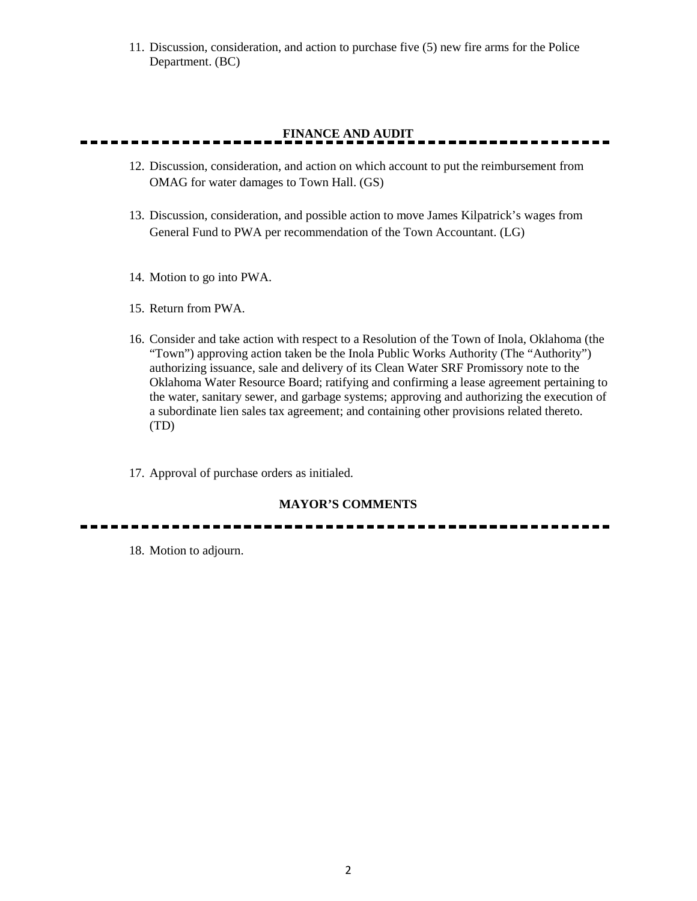11. Discussion, consideration, and action to purchase five (5) new fire arms for the Police Department. (BC)

# **FINANCE AND AUDIT**

- 12. Discussion, consideration, and action on which account to put the reimbursement from OMAG for water damages to Town Hall. (GS)
- 13. Discussion, consideration, and possible action to move James Kilpatrick's wages from General Fund to PWA per recommendation of the Town Accountant. (LG)
- 14. Motion to go into PWA.
- 15. Return from PWA.
- 16. Consider and take action with respect to a Resolution of the Town of Inola, Oklahoma (the "Town") approving action taken be the Inola Public Works Authority (The "Authority") authorizing issuance, sale and delivery of its Clean Water SRF Promissory note to the Oklahoma Water Resource Board; ratifying and confirming a lease agreement pertaining to the water, sanitary sewer, and garbage systems; approving and authorizing the execution of a subordinate lien sales tax agreement; and containing other provisions related thereto. (TD)
- 17. Approval of purchase orders as initialed.

### **MAYOR'S COMMENTS**

18. Motion to adjourn.